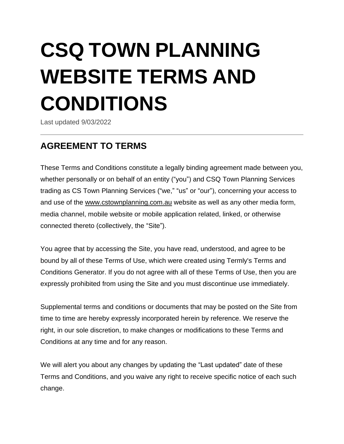# **CSQ TOWN PLANNING WEBSITE TERMS AND CONDITIONS**

Last updated 9/03/2022

# **AGREEMENT TO TERMS**

These Terms and Conditions constitute a legally binding agreement made between you, whether personally or on behalf of an entity ("you") and CSQ Town Planning Services trading as CS Town Planning Services ("we," "us" or "our"), concerning your access to and use of the [www.cstownplanning.com.au](http://www.cstownplanning.com.au/) website as well as any other media form, media channel, mobile website or mobile application related, linked, or otherwise connected thereto (collectively, the "Site").

You agree that by accessing the Site, you have read, understood, and agree to be bound by all of these Terms of Use, which were created using Termly's [Terms](https://termly.io/products/terms-and-conditions-generator/) and [Conditions](https://termly.io/products/terms-and-conditions-generator/) Generator. If you do not agree with all of these Terms of Use, then you are expressly prohibited from using the Site and you must discontinue use immediately.

Supplemental terms and conditions or documents that may be posted on the Site from time to time are hereby expressly incorporated herein by reference. We reserve the right, in our sole discretion, to make changes or modifications to these Terms and Conditions at any time and for any reason.

We will alert you about any changes by updating the "Last updated" date of these Terms and Conditions, and you waive any right to receive specific notice of each such change.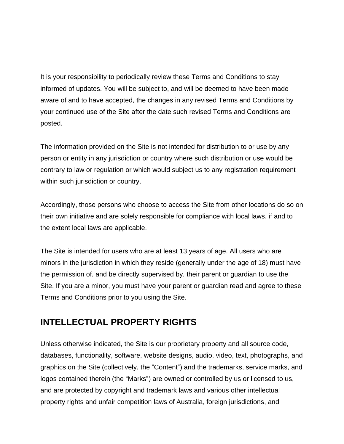It is your responsibility to periodically review these Terms and Conditions to stay informed of updates. You will be subject to, and will be deemed to have been made aware of and to have accepted, the changes in any revised Terms and Conditions by your continued use of the Site after the date such revised Terms and Conditions are posted.

The information provided on the Site is not intended for distribution to or use by any person or entity in any jurisdiction or country where such distribution or use would be contrary to law or regulation or which would subject us to any registration requirement within such jurisdiction or country.

Accordingly, those persons who choose to access the Site from other locations do so on their own initiative and are solely responsible for compliance with local laws, if and to the extent local laws are applicable.

The Site is intended for users who are at least 13 years of age. All users who are minors in the jurisdiction in which they reside (generally under the age of 18) must have the permission of, and be directly supervised by, their parent or guardian to use the Site. If you are a minor, you must have your parent or guardian read and agree to these Terms and Conditions prior to you using the Site.

#### **INTELLECTUAL PROPERTY RIGHTS**

Unless otherwise indicated, the Site is our proprietary property and all source code, databases, functionality, software, website designs, audio, video, text, photographs, and graphics on the Site (collectively, the "Content") and the trademarks, service marks, and logos contained therein (the "Marks") are owned or controlled by us or licensed to us, and are protected by copyright and trademark laws and various other intellectual property rights and unfair competition laws of Australia, foreign jurisdictions, and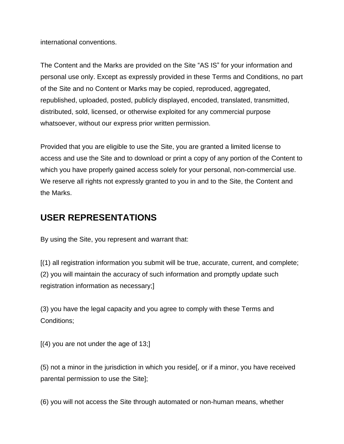international conventions.

The Content and the Marks are provided on the Site "AS IS" for your information and personal use only. Except as expressly provided in these Terms and Conditions, no part of the Site and no Content or Marks may be copied, reproduced, aggregated, republished, uploaded, posted, publicly displayed, encoded, translated, transmitted, distributed, sold, licensed, or otherwise exploited for any commercial purpose whatsoever, without our express prior written permission.

Provided that you are eligible to use the Site, you are granted a limited license to access and use the Site and to download or print a copy of any portion of the Content to which you have properly gained access solely for your personal, non-commercial use. We reserve all rights not expressly granted to you in and to the Site, the Content and the Marks.

#### **USER REPRESENTATIONS**

By using the Site, you represent and warrant that:

[(1) all registration information you submit will be true, accurate, current, and complete; (2) you will maintain the accuracy of such information and promptly update such registration information as necessary;]

(3) you have the legal capacity and you agree to comply with these Terms and Conditions;

 $[(4)$  you are not under the age of 13;

(5) not a minor in the jurisdiction in which you reside[, or if a minor, you have received parental permission to use the Site];

(6) you will not access the Site through automated or non-human means, whether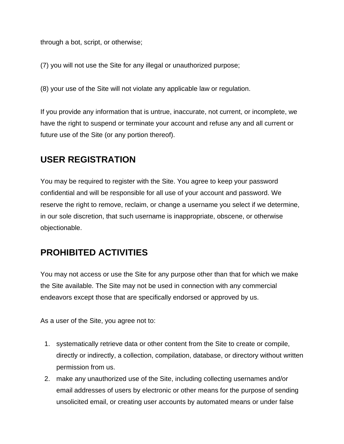through a bot, script, or otherwise;

(7) you will not use the Site for any illegal or unauthorized purpose;

(8) your use of the Site will not violate any applicable law or regulation.

If you provide any information that is untrue, inaccurate, not current, or incomplete, we have the right to suspend or terminate your account and refuse any and all current or future use of the Site (or any portion thereof).

## **USER REGISTRATION**

You may be required to register with the Site. You agree to keep your password confidential and will be responsible for all use of your account and password. We reserve the right to remove, reclaim, or change a username you select if we determine, in our sole discretion, that such username is inappropriate, obscene, or otherwise objectionable.

## **PROHIBITED ACTIVITIES**

You may not access or use the Site for any purpose other than that for which we make the Site available. The Site may not be used in connection with any commercial endeavors except those that are specifically endorsed or approved by us.

As a user of the Site, you agree not to:

- 1. systematically retrieve data or other content from the Site to create or compile, directly or indirectly, a collection, compilation, database, or directory without written permission from us.
- 2. make any unauthorized use of the Site, including collecting usernames and/or email addresses of users by electronic or other means for the purpose of sending unsolicited email, or creating user accounts by automated means or under false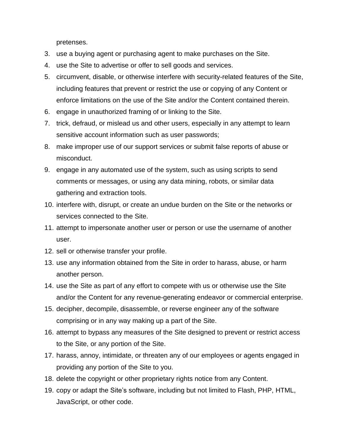pretenses.

- 3. use a buying agent or purchasing agent to make purchases on the Site.
- 4. use the Site to advertise or offer to sell goods and services.
- 5. circumvent, disable, or otherwise interfere with security-related features of the Site, including features that prevent or restrict the use or copying of any Content or enforce limitations on the use of the Site and/or the Content contained therein.
- 6. engage in unauthorized framing of or linking to the Site.
- 7. trick, defraud, or mislead us and other users, especially in any attempt to learn sensitive account information such as user passwords;
- 8. make improper use of our support services or submit false reports of abuse or misconduct.
- 9. engage in any automated use of the system, such as using scripts to send comments or messages, or using any data mining, robots, or similar data gathering and extraction tools.
- 10. interfere with, disrupt, or create an undue burden on the Site or the networks or services connected to the Site.
- 11. attempt to impersonate another user or person or use the username of another user.
- 12. sell or otherwise transfer your profile.
- 13. use any information obtained from the Site in order to harass, abuse, or harm another person.
- 14. use the Site as part of any effort to compete with us or otherwise use the Site and/or the Content for any revenue-generating endeavor or commercial enterprise.
- 15. decipher, decompile, disassemble, or reverse engineer any of the software comprising or in any way making up a part of the Site.
- 16. attempt to bypass any measures of the Site designed to prevent or restrict access to the Site, or any portion of the Site.
- 17. harass, annoy, intimidate, or threaten any of our employees or agents engaged in providing any portion of the Site to you.
- 18. delete the copyright or other proprietary rights notice from any Content.
- 19. copy or adapt the Site's software, including but not limited to Flash, PHP, HTML, JavaScript, or other code.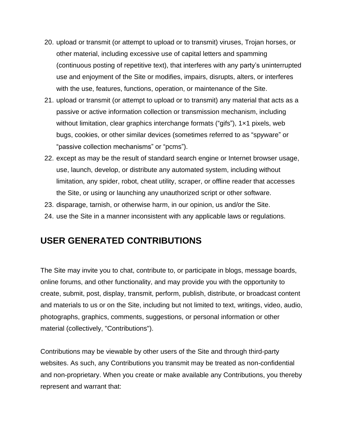- 20. upload or transmit (or attempt to upload or to transmit) viruses, Trojan horses, or other material, including excessive use of capital letters and spamming (continuous posting of repetitive text), that interferes with any party's uninterrupted use and enjoyment of the Site or modifies, impairs, disrupts, alters, or interferes with the use, features, functions, operation, or maintenance of the Site.
- 21. upload or transmit (or attempt to upload or to transmit) any material that acts as a passive or active information collection or transmission mechanism, including without limitation, clear graphics interchange formats ("gifs"), 1x1 pixels, web bugs, cookies, or other similar devices (sometimes referred to as "spyware" or "passive collection mechanisms" or "pcms").
- 22. except as may be the result of standard search engine or Internet browser usage, use, launch, develop, or distribute any automated system, including without limitation, any spider, robot, cheat utility, scraper, or offline reader that accesses the Site, or using or launching any unauthorized script or other software.
- 23. disparage, tarnish, or otherwise harm, in our opinion, us and/or the Site.
- 24. use the Site in a manner inconsistent with any applicable laws or regulations.

#### **USER GENERATED CONTRIBUTIONS**

The Site may invite you to chat, contribute to, or participate in blogs, message boards, online forums, and other functionality, and may provide you with the opportunity to create, submit, post, display, transmit, perform, publish, distribute, or broadcast content and materials to us or on the Site, including but not limited to text, writings, video, audio, photographs, graphics, comments, suggestions, or personal information or other material (collectively, "Contributions").

Contributions may be viewable by other users of the Site and through third-party websites. As such, any Contributions you transmit may be treated as non-confidential and non-proprietary. When you create or make available any Contributions, you thereby represent and warrant that: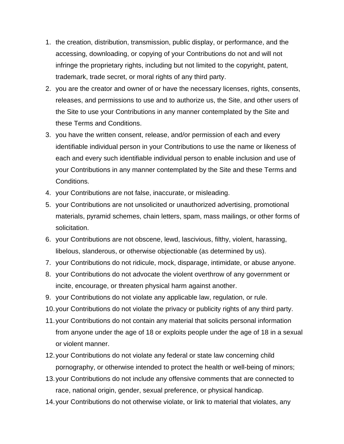- 1. the creation, distribution, transmission, public display, or performance, and the accessing, downloading, or copying of your Contributions do not and will not infringe the proprietary rights, including but not limited to the copyright, patent, trademark, trade secret, or moral rights of any third party.
- 2. you are the creator and owner of or have the necessary licenses, rights, consents, releases, and permissions to use and to authorize us, the Site, and other users of the Site to use your Contributions in any manner contemplated by the Site and these Terms and Conditions.
- 3. you have the written consent, release, and/or permission of each and every identifiable individual person in your Contributions to use the name or likeness of each and every such identifiable individual person to enable inclusion and use of your Contributions in any manner contemplated by the Site and these Terms and Conditions.
- 4. your Contributions are not false, inaccurate, or misleading.
- 5. your Contributions are not unsolicited or unauthorized advertising, promotional materials, pyramid schemes, chain letters, spam, mass mailings, or other forms of solicitation.
- 6. your Contributions are not obscene, lewd, lascivious, filthy, violent, harassing, libelous, slanderous, or otherwise objectionable (as determined by us).
- 7. your Contributions do not ridicule, mock, disparage, intimidate, or abuse anyone.
- 8. your Contributions do not advocate the violent overthrow of any government or incite, encourage, or threaten physical harm against another.
- 9. your Contributions do not violate any applicable law, regulation, or rule.
- 10.your Contributions do not violate the privacy or publicity rights of any third party.
- 11.your Contributions do not contain any material that solicits personal information from anyone under the age of 18 or exploits people under the age of 18 in a sexual or violent manner.
- 12.your Contributions do not violate any federal or state law concerning child pornography, or otherwise intended to protect the health or well-being of minors;
- 13.your Contributions do not include any offensive comments that are connected to race, national origin, gender, sexual preference, or physical handicap.
- 14.your Contributions do not otherwise violate, or link to material that violates, any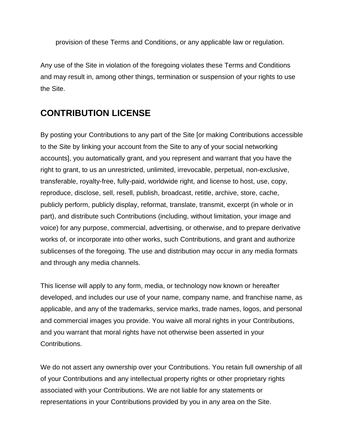provision of these Terms and Conditions, or any applicable law or regulation.

Any use of the Site in violation of the foregoing violates these Terms and Conditions and may result in, among other things, termination or suspension of your rights to use the Site.

#### **CONTRIBUTION LICENSE**

By posting your Contributions to any part of the Site [or making Contributions accessible to the Site by linking your account from the Site to any of your social networking accounts], you automatically grant, and you represent and warrant that you have the right to grant, to us an unrestricted, unlimited, irrevocable, perpetual, non-exclusive, transferable, royalty-free, fully-paid, worldwide right, and license to host, use, copy, reproduce, disclose, sell, resell, publish, broadcast, retitle, archive, store, cache, publicly perform, publicly display, reformat, translate, transmit, excerpt (in whole or in part), and distribute such Contributions (including, without limitation, your image and voice) for any purpose, commercial, advertising, or otherwise, and to prepare derivative works of, or incorporate into other works, such Contributions, and grant and authorize sublicenses of the foregoing. The use and distribution may occur in any media formats and through any media channels.

This license will apply to any form, media, or technology now known or hereafter developed, and includes our use of your name, company name, and franchise name, as applicable, and any of the trademarks, service marks, trade names, logos, and personal and commercial images you provide. You waive all moral rights in your Contributions, and you warrant that moral rights have not otherwise been asserted in your Contributions.

We do not assert any ownership over your Contributions. You retain full ownership of all of your Contributions and any intellectual property rights or other proprietary rights associated with your Contributions. We are not liable for any statements or representations in your Contributions provided by you in any area on the Site.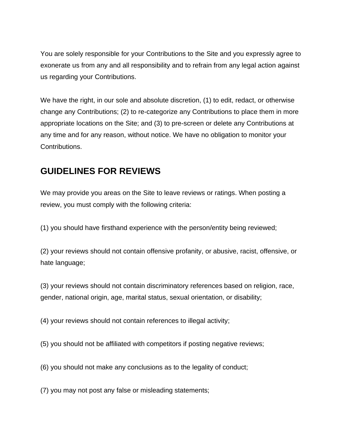You are solely responsible for your Contributions to the Site and you expressly agree to exonerate us from any and all responsibility and to refrain from any legal action against us regarding your Contributions.

We have the right, in our sole and absolute discretion, (1) to edit, redact, or otherwise change any Contributions; (2) to re-categorize any Contributions to place them in more appropriate locations on the Site; and (3) to pre-screen or delete any Contributions at any time and for any reason, without notice. We have no obligation to monitor your Contributions.

#### **GUIDELINES FOR REVIEWS**

We may provide you areas on the Site to leave reviews or ratings. When posting a review, you must comply with the following criteria:

(1) you should have firsthand experience with the person/entity being reviewed;

(2) your reviews should not contain offensive profanity, or abusive, racist, offensive, or hate language;

(3) your reviews should not contain discriminatory references based on religion, race, gender, national origin, age, marital status, sexual orientation, or disability;

(4) your reviews should not contain references to illegal activity;

(5) you should not be affiliated with competitors if posting negative reviews;

(6) you should not make any conclusions as to the legality of conduct;

(7) you may not post any false or misleading statements;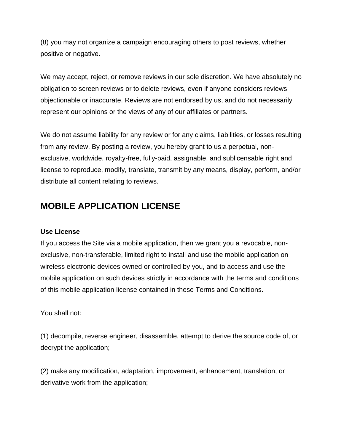(8) you may not organize a campaign encouraging others to post reviews, whether positive or negative.

We may accept, reject, or remove reviews in our sole discretion. We have absolutely no obligation to screen reviews or to delete reviews, even if anyone considers reviews objectionable or inaccurate. Reviews are not endorsed by us, and do not necessarily represent our opinions or the views of any of our affiliates or partners.

We do not assume liability for any review or for any claims, liabilities, or losses resulting from any review. By posting a review, you hereby grant to us a perpetual, nonexclusive, worldwide, royalty-free, fully-paid, assignable, and sublicensable right and license to reproduce, modify, translate, transmit by any means, display, perform, and/or distribute all content relating to reviews.

#### **MOBILE APPLICATION LICENSE**

#### **Use License**

If you access the Site via a mobile application, then we grant you a revocable, nonexclusive, non-transferable, limited right to install and use the mobile application on wireless electronic devices owned or controlled by you, and to access and use the mobile application on such devices strictly in accordance with the terms and conditions of this mobile application license contained in these Terms and Conditions.

You shall not:

(1) decompile, reverse engineer, disassemble, attempt to derive the source code of, or decrypt the application;

(2) make any modification, adaptation, improvement, enhancement, translation, or derivative work from the application;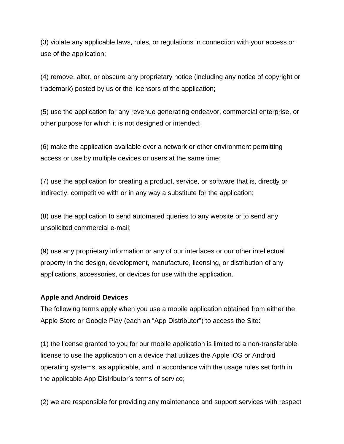(3) violate any applicable laws, rules, or regulations in connection with your access or use of the application;

(4) remove, alter, or obscure any proprietary notice (including any notice of copyright or trademark) posted by us or the licensors of the application;

(5) use the application for any revenue generating endeavor, commercial enterprise, or other purpose for which it is not designed or intended;

(6) make the application available over a network or other environment permitting access or use by multiple devices or users at the same time;

(7) use the application for creating a product, service, or software that is, directly or indirectly, competitive with or in any way a substitute for the application;

(8) use the application to send automated queries to any website or to send any unsolicited commercial e-mail;

(9) use any proprietary information or any of our interfaces or our other intellectual property in the design, development, manufacture, licensing, or distribution of any applications, accessories, or devices for use with the application.

#### **Apple and Android Devices**

The following terms apply when you use a mobile application obtained from either the Apple Store or Google Play (each an "App Distributor") to access the Site:

(1) the license granted to you for our mobile application is limited to a non-transferable license to use the application on a device that utilizes the Apple iOS or Android operating systems, as applicable, and in accordance with the usage rules set forth in the applicable App Distributor's terms of service;

(2) we are responsible for providing any maintenance and support services with respect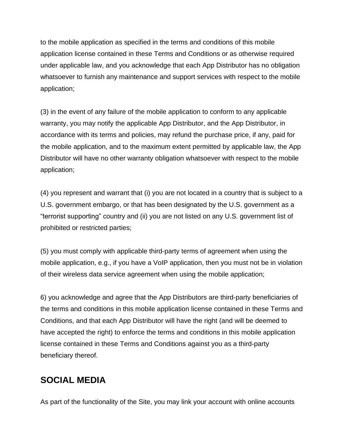to the mobile application as specified in the terms and conditions of this mobile application license contained in these Terms and Conditions or as otherwise required under applicable law, and you acknowledge that each App Distributor has no obligation whatsoever to furnish any maintenance and support services with respect to the mobile application;

(3) in the event of any failure of the mobile application to conform to any applicable warranty, you may notify the applicable App Distributor, and the App Distributor, in accordance with its terms and policies, may refund the purchase price, if any, paid for the mobile application, and to the maximum extent permitted by applicable law, the App Distributor will have no other warranty obligation whatsoever with respect to the mobile application;

(4) you represent and warrant that (i) you are not located in a country that is subject to a U.S. government embargo, or that has been designated by the U.S. government as a "terrorist supporting" country and (ii) you are not listed on any U.S. government list of prohibited or restricted parties;

(5) you must comply with applicable third-party terms of agreement when using the mobile application, e.g., if you have a VoIP application, then you must not be in violation of their wireless data service agreement when using the mobile application;

6) you acknowledge and agree that the App Distributors are third-party beneficiaries of the terms and conditions in this mobile application license contained in these Terms and Conditions, and that each App Distributor will have the right (and will be deemed to have accepted the right) to enforce the terms and conditions in this mobile application license contained in these Terms and Conditions against you as a third-party beneficiary thereof.

#### **SOCIAL MEDIA**

As part of the functionality of the Site, you may link your account with online accounts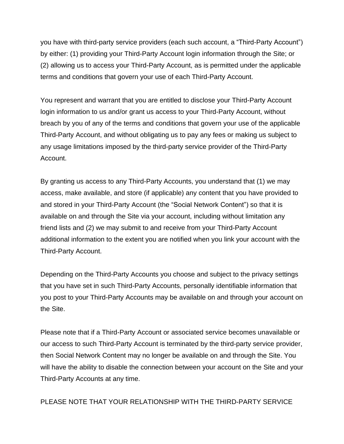you have with third-party service providers (each such account, a "Third-Party Account") by either: (1) providing your Third-Party Account login information through the Site; or (2) allowing us to access your Third-Party Account, as is permitted under the applicable terms and conditions that govern your use of each Third-Party Account.

You represent and warrant that you are entitled to disclose your Third-Party Account login information to us and/or grant us access to your Third-Party Account, without breach by you of any of the terms and conditions that govern your use of the applicable Third-Party Account, and without obligating us to pay any fees or making us subject to any usage limitations imposed by the third-party service provider of the Third-Party Account.

By granting us access to any Third-Party Accounts, you understand that (1) we may access, make available, and store (if applicable) any content that you have provided to and stored in your Third-Party Account (the "Social Network Content") so that it is available on and through the Site via your account, including without limitation any friend lists and (2) we may submit to and receive from your Third-Party Account additional information to the extent you are notified when you link your account with the Third-Party Account.

Depending on the Third-Party Accounts you choose and subject to the privacy settings that you have set in such Third-Party Accounts, personally identifiable information that you post to your Third-Party Accounts may be available on and through your account on the Site.

Please note that if a Third-Party Account or associated service becomes unavailable or our access to such Third-Party Account is terminated by the third-party service provider, then Social Network Content may no longer be available on and through the Site. You will have the ability to disable the connection between your account on the Site and your Third-Party Accounts at any time.

PLEASE NOTE THAT YOUR RELATIONSHIP WITH THE THIRD-PARTY SERVICE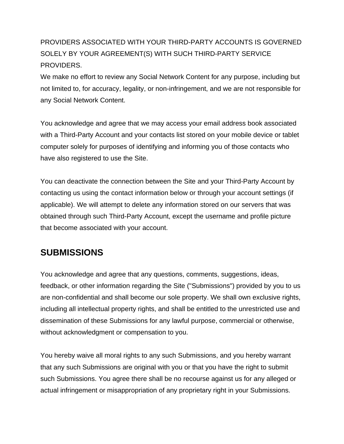#### PROVIDERS ASSOCIATED WITH YOUR THIRD-PARTY ACCOUNTS IS GOVERNED SOLELY BY YOUR AGREEMENT(S) WITH SUCH THIRD-PARTY SERVICE PROVIDERS.

We make no effort to review any Social Network Content for any purpose, including but not limited to, for accuracy, legality, or non-infringement, and we are not responsible for any Social Network Content.

You acknowledge and agree that we may access your email address book associated with a Third-Party Account and your contacts list stored on your mobile device or tablet computer solely for purposes of identifying and informing you of those contacts who have also registered to use the Site.

You can deactivate the connection between the Site and your Third-Party Account by contacting us using the contact information below or through your account settings (if applicable). We will attempt to delete any information stored on our servers that was obtained through such Third-Party Account, except the username and profile picture that become associated with your account.

## **SUBMISSIONS**

You acknowledge and agree that any questions, comments, suggestions, ideas, feedback, or other information regarding the Site ("Submissions") provided by you to us are non-confidential and shall become our sole property. We shall own exclusive rights, including all intellectual property rights, and shall be entitled to the unrestricted use and dissemination of these Submissions for any lawful purpose, commercial or otherwise, without acknowledgment or compensation to you.

You hereby waive all moral rights to any such Submissions, and you hereby warrant that any such Submissions are original with you or that you have the right to submit such Submissions. You agree there shall be no recourse against us for any alleged or actual infringement or misappropriation of any proprietary right in your Submissions.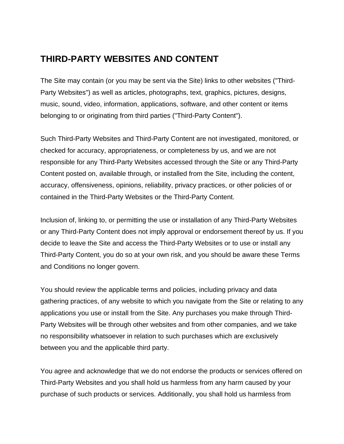## **THIRD-PARTY WEBSITES AND CONTENT**

The Site may contain (or you may be sent via the Site) links to other websites ("Third-Party Websites") as well as articles, photographs, text, graphics, pictures, designs, music, sound, video, information, applications, software, and other content or items belonging to or originating from third parties ("Third-Party Content").

Such Third-Party Websites and Third-Party Content are not investigated, monitored, or checked for accuracy, appropriateness, or completeness by us, and we are not responsible for any Third-Party Websites accessed through the Site or any Third-Party Content posted on, available through, or installed from the Site, including the content, accuracy, offensiveness, opinions, reliability, privacy practices, or other policies of or contained in the Third-Party Websites or the Third-Party Content.

Inclusion of, linking to, or permitting the use or installation of any Third-Party Websites or any Third-Party Content does not imply approval or endorsement thereof by us. If you decide to leave the Site and access the Third-Party Websites or to use or install any Third-Party Content, you do so at your own risk, and you should be aware these Terms and Conditions no longer govern.

You should review the applicable terms and policies, including privacy and data gathering practices, of any website to which you navigate from the Site or relating to any applications you use or install from the Site. Any purchases you make through Third-Party Websites will be through other websites and from other companies, and we take no responsibility whatsoever in relation to such purchases which are exclusively between you and the applicable third party.

You agree and acknowledge that we do not endorse the products or services offered on Third-Party Websites and you shall hold us harmless from any harm caused by your purchase of such products or services. Additionally, you shall hold us harmless from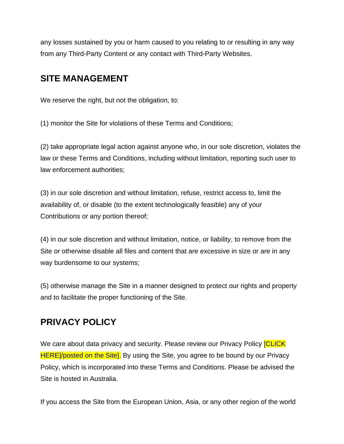any losses sustained by you or harm caused to you relating to or resulting in any way from any Third-Party Content or any contact with Third-Party Websites.

#### **SITE MANAGEMENT**

We reserve the right, but not the obligation, to:

(1) monitor the Site for violations of these Terms and Conditions;

(2) take appropriate legal action against anyone who, in our sole discretion, violates the law or these Terms and Conditions, including without limitation, reporting such user to law enforcement authorities;

(3) in our sole discretion and without limitation, refuse, restrict access to, limit the availability of, or disable (to the extent technologically feasible) any of your Contributions or any portion thereof;

(4) in our sole discretion and without limitation, notice, or liability, to remove from the Site or otherwise disable all files and content that are excessive in size or are in any way burdensome to our systems;

(5) otherwise manage the Site in a manner designed to protect our rights and property and to facilitate the proper functioning of the Site.

#### **PRIVACY POLICY**

We care about data privacy and security. Please review our Privacy Policy **[CLICK** HERE]/posted on the Site]. By using the Site, you agree to be bound by our Privacy Policy, which is incorporated into these Terms and Conditions. Please be advised the Site is hosted in Australia.

If you access the Site from the European Union, Asia, or any other region of the world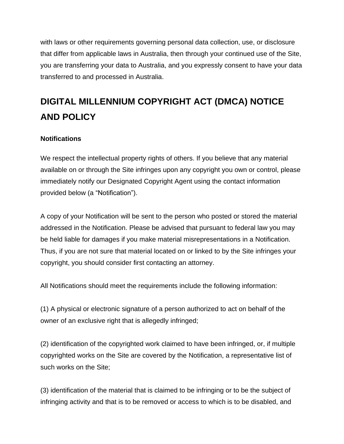with laws or other requirements governing personal data collection, use, or disclosure that differ from applicable laws in Australia, then through your continued use of the Site, you are transferring your data to Australia, and you expressly consent to have your data transferred to and processed in Australia.

# **DIGITAL MILLENNIUM COPYRIGHT ACT (DMCA) NOTICE AND POLICY**

#### **Notifications**

We respect the intellectual property rights of others. If you believe that any material available on or through the Site infringes upon any copyright you own or control, please immediately notify our Designated Copyright Agent using the contact information provided below (a "Notification").

A copy of your Notification will be sent to the person who posted or stored the material addressed in the Notification. Please be advised that pursuant to federal law you may be held liable for damages if you make material misrepresentations in a Notification. Thus, if you are not sure that material located on or linked to by the Site infringes your copyright, you should consider first contacting an attorney.

All Notifications should meet the requirements include the following information:

(1) A physical or electronic signature of a person authorized to act on behalf of the owner of an exclusive right that is allegedly infringed;

(2) identification of the copyrighted work claimed to have been infringed, or, if multiple copyrighted works on the Site are covered by the Notification, a representative list of such works on the Site;

(3) identification of the material that is claimed to be infringing or to be the subject of infringing activity and that is to be removed or access to which is to be disabled, and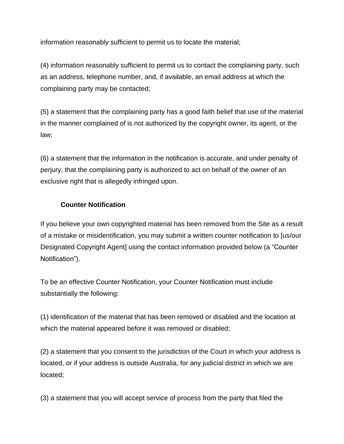information reasonably sufficient to permit us to locate the material;

(4) information reasonably sufficient to permit us to contact the complaining party, such as an address, telephone number, and, if available, an email address at which the complaining party may be contacted;

(5) a statement that the complaining party has a good faith belief that use of the material in the manner complained of is not authorized by the copyright owner, its agent, or the law;

(6) a statement that the information in the notification is accurate, and under penalty of perjury, that the complaining party is authorized to act on behalf of the owner of an exclusive right that is allegedly infringed upon.

#### **Counter Notification**

If you believe your own copyrighted material has been removed from the Site as a result of a mistake or misidentification, you may submit a written counter notification to [us/our Designated Copyright Agent] using the contact information provided below (a "Counter Notification").

To be an effective Counter Notification, your Counter Notification must include substantially the following:

(1) identification of the material that has been removed or disabled and the location at which the material appeared before it was removed or disabled;

(2) a statement that you consent to the jurisdiction of the Court in which your address is located, or if your address is outside Australia, for any judicial district in which we are located;

(3) a statement that you will accept service of process from the party that filed the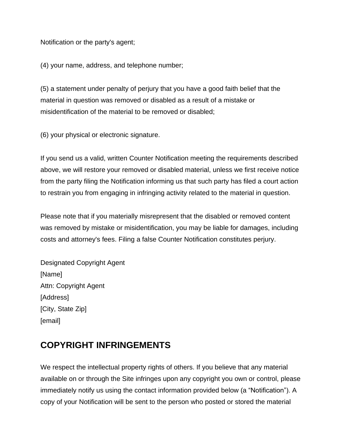Notification or the party's agent;

(4) your name, address, and telephone number;

(5) a statement under penalty of perjury that you have a good faith belief that the material in question was removed or disabled as a result of a mistake or misidentification of the material to be removed or disabled;

(6) your physical or electronic signature.

If you send us a valid, written Counter Notification meeting the requirements described above, we will restore your removed or disabled material, unless we first receive notice from the party filing the Notification informing us that such party has filed a court action to restrain you from engaging in infringing activity related to the material in question.

Please note that if you materially misrepresent that the disabled or removed content was removed by mistake or misidentification, you may be liable for damages, including costs and attorney's fees. Filing a false Counter Notification constitutes perjury.

Designated Copyright Agent [Name] Attn: Copyright Agent [Address] [City, State Zip] [email]

#### **COPYRIGHT INFRINGEMENTS**

We respect the intellectual property rights of others. If you believe that any material available on or through the Site infringes upon any copyright you own or control, please immediately notify us using the contact information provided below (a "Notification"). A copy of your Notification will be sent to the person who posted or stored the material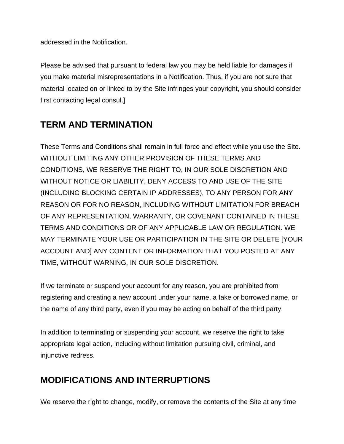addressed in the Notification.

Please be advised that pursuant to federal law you may be held liable for damages if you make material misrepresentations in a Notification. Thus, if you are not sure that material located on or linked to by the Site infringes your copyright, you should consider first contacting legal consul.]

## **TERM AND TERMINATION**

These Terms and Conditions shall remain in full force and effect while you use the Site. WITHOUT LIMITING ANY OTHER PROVISION OF THESE TERMS AND CONDITIONS, WE RESERVE THE RIGHT TO, IN OUR SOLE DISCRETION AND WITHOUT NOTICE OR LIABILITY, DENY ACCESS TO AND USE OF THE SITE (INCLUDING BLOCKING CERTAIN IP ADDRESSES), TO ANY PERSON FOR ANY REASON OR FOR NO REASON, INCLUDING WITHOUT LIMITATION FOR BREACH OF ANY REPRESENTATION, WARRANTY, OR COVENANT CONTAINED IN THESE TERMS AND CONDITIONS OR OF ANY APPLICABLE LAW OR REGULATION. WE MAY TERMINATE YOUR USE OR PARTICIPATION IN THE SITE OR DELETE [YOUR ACCOUNT AND] ANY CONTENT OR INFORMATION THAT YOU POSTED AT ANY TIME, WITHOUT WARNING, IN OUR SOLE DISCRETION.

If we terminate or suspend your account for any reason, you are prohibited from registering and creating a new account under your name, a fake or borrowed name, or the name of any third party, even if you may be acting on behalf of the third party.

In addition to terminating or suspending your account, we reserve the right to take appropriate legal action, including without limitation pursuing civil, criminal, and injunctive redress.

## **MODIFICATIONS AND INTERRUPTIONS**

We reserve the right to change, modify, or remove the contents of the Site at any time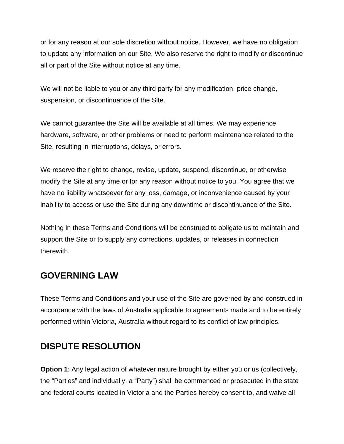or for any reason at our sole discretion without notice. However, we have no obligation to update any information on our Site. We also reserve the right to modify or discontinue all or part of the Site without notice at any time.

We will not be liable to you or any third party for any modification, price change, suspension, or discontinuance of the Site.

We cannot guarantee the Site will be available at all times. We may experience hardware, software, or other problems or need to perform maintenance related to the Site, resulting in interruptions, delays, or errors.

We reserve the right to change, revise, update, suspend, discontinue, or otherwise modify the Site at any time or for any reason without notice to you. You agree that we have no liability whatsoever for any loss, damage, or inconvenience caused by your inability to access or use the Site during any downtime or discontinuance of the Site.

Nothing in these Terms and Conditions will be construed to obligate us to maintain and support the Site or to supply any corrections, updates, or releases in connection therewith.

#### **GOVERNING LAW**

These Terms and Conditions and your use of the Site are governed by and construed in accordance with the laws of Australia applicable to agreements made and to be entirely performed within Victoria, Australia without regard to its conflict of law principles.

## **DISPUTE RESOLUTION**

**Option 1**: Any legal action of whatever nature brought by either you or us (collectively, the "Parties" and individually, a "Party") shall be commenced or prosecuted in the state and federal courts located in Victoria and the Parties hereby consent to, and waive all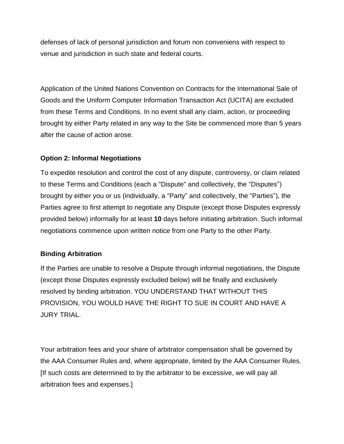defenses of lack of personal jurisdiction and forum non conveniens with respect to venue and jurisdiction in such state and federal courts.

Application of the United Nations Convention on Contracts for the International Sale of Goods and the Uniform Computer Information Transaction Act (UCITA) are excluded from these Terms and Conditions. In no event shall any claim, action, or proceeding brought by either Party related in any way to the Site be commenced more than 5 years after the cause of action arose.

#### **Option 2: Informal Negotiations**

To expedite resolution and control the cost of any dispute, controversy, or claim related to these Terms and Conditions (each a "Dispute" and collectively, the "Disputes") brought by either you or us (individually, a "Party" and collectively, the "Parties"), the Parties agree to first attempt to negotiate any Dispute (except those Disputes expressly provided below) informally for at least **10** days before initiating arbitration. Such informal negotiations commence upon written notice from one Party to the other Party.

#### **Binding Arbitration**

If the Parties are unable to resolve a Dispute through informal negotiations, the Dispute (except those Disputes expressly excluded below) will be finally and exclusively resolved by binding arbitration. YOU UNDERSTAND THAT WITHOUT THIS PROVISION, YOU WOULD HAVE THE RIGHT TO SUE IN COURT AND HAVE A JURY TRIAL.

Your arbitration fees and your share of arbitrator compensation shall be governed by the AAA Consumer Rules and, where appropriate, limited by the AAA Consumer Rules. [If such costs are determined to by the arbitrator to be excessive, we will pay all arbitration fees and expenses.]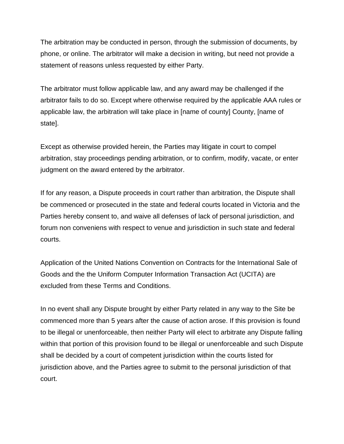The arbitration may be conducted in person, through the submission of documents, by phone, or online. The arbitrator will make a decision in writing, but need not provide a statement of reasons unless requested by either Party.

The arbitrator must follow applicable law, and any award may be challenged if the arbitrator fails to do so. Except where otherwise required by the applicable AAA rules or applicable law, the arbitration will take place in [name of county] County, [name of state].

Except as otherwise provided herein, the Parties may litigate in court to compel arbitration, stay proceedings pending arbitration, or to confirm, modify, vacate, or enter judgment on the award entered by the arbitrator.

If for any reason, a Dispute proceeds in court rather than arbitration, the Dispute shall be commenced or prosecuted in the state and federal courts located in Victoria and the Parties hereby consent to, and waive all defenses of lack of personal jurisdiction, and forum non conveniens with respect to venue and jurisdiction in such state and federal courts.

Application of the United Nations Convention on Contracts for the International Sale of Goods and the the Uniform Computer Information Transaction Act (UCITA) are excluded from these Terms and Conditions.

In no event shall any Dispute brought by either Party related in any way to the Site be commenced more than 5 years after the cause of action arose. If this provision is found to be illegal or unenforceable, then neither Party will elect to arbitrate any Dispute falling within that portion of this provision found to be illegal or unenforceable and such Dispute shall be decided by a court of competent jurisdiction within the courts listed for jurisdiction above, and the Parties agree to submit to the personal jurisdiction of that court.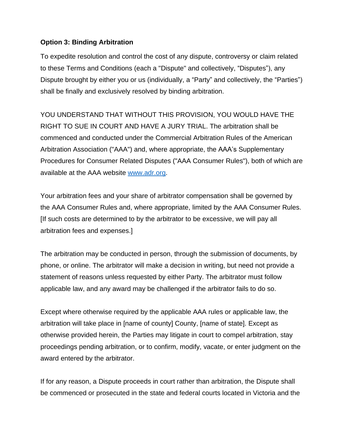#### **Option 3: Binding Arbitration**

To expedite resolution and control the cost of any dispute, controversy or claim related to these Terms and Conditions (each a "Dispute" and collectively, "Disputes"), any Dispute brought by either you or us (individually, a "Party" and collectively, the "Parties") shall be finally and exclusively resolved by binding arbitration.

YOU UNDERSTAND THAT WITHOUT THIS PROVISION, YOU WOULD HAVE THE RIGHT TO SUE IN COURT AND HAVE A JURY TRIAL. The arbitration shall be commenced and conducted under the Commercial Arbitration Rules of the American Arbitration Association ("AAA") and, where appropriate, the AAA's Supplementary Procedures for Consumer Related Disputes ("AAA Consumer Rules"), both of which are available at the AAA website [www.adr.org.](http://www.adr.org/)

Your arbitration fees and your share of arbitrator compensation shall be governed by the AAA Consumer Rules and, where appropriate, limited by the AAA Consumer Rules. [If such costs are determined to by the arbitrator to be excessive, we will pay all arbitration fees and expenses.]

The arbitration may be conducted in person, through the submission of documents, by phone, or online. The arbitrator will make a decision in writing, but need not provide a statement of reasons unless requested by either Party. The arbitrator must follow applicable law, and any award may be challenged if the arbitrator fails to do so.

Except where otherwise required by the applicable AAA rules or applicable law, the arbitration will take place in [name of county] County, [name of state]. Except as otherwise provided herein, the Parties may litigate in court to compel arbitration, stay proceedings pending arbitration, or to confirm, modify, vacate, or enter judgment on the award entered by the arbitrator.

If for any reason, a Dispute proceeds in court rather than arbitration, the Dispute shall be commenced or prosecuted in the state and federal courts located in Victoria and the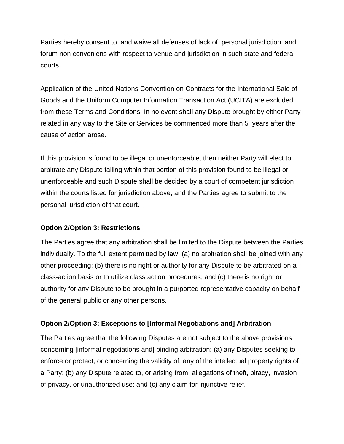Parties hereby consent to, and waive all defenses of lack of, personal jurisdiction, and forum non conveniens with respect to venue and jurisdiction in such state and federal courts.

Application of the United Nations Convention on Contracts for the International Sale of Goods and the Uniform Computer Information Transaction Act (UCITA) are excluded from these Terms and Conditions. In no event shall any Dispute brought by either Party related in any way to the Site or Services be commenced more than 5 years after the cause of action arose.

If this provision is found to be illegal or unenforceable, then neither Party will elect to arbitrate any Dispute falling within that portion of this provision found to be illegal or unenforceable and such Dispute shall be decided by a court of competent jurisdiction within the courts listed for jurisdiction above, and the Parties agree to submit to the personal jurisdiction of that court.

#### **Option 2/Option 3: Restrictions**

The Parties agree that any arbitration shall be limited to the Dispute between the Parties individually. To the full extent permitted by law, (a) no arbitration shall be joined with any other proceeding; (b) there is no right or authority for any Dispute to be arbitrated on a class-action basis or to utilize class action procedures; and (c) there is no right or authority for any Dispute to be brought in a purported representative capacity on behalf of the general public or any other persons.

#### **Option 2/Option 3: Exceptions to [Informal Negotiations and] Arbitration**

The Parties agree that the following Disputes are not subject to the above provisions concerning [informal negotiations and] binding arbitration: (a) any Disputes seeking to enforce or protect, or concerning the validity of, any of the intellectual property rights of a Party; (b) any Dispute related to, or arising from, allegations of theft, piracy, invasion of privacy, or unauthorized use; and (c) any claim for injunctive relief.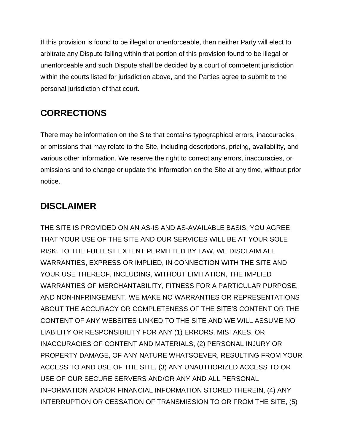If this provision is found to be illegal or unenforceable, then neither Party will elect to arbitrate any Dispute falling within that portion of this provision found to be illegal or unenforceable and such Dispute shall be decided by a court of competent jurisdiction within the courts listed for jurisdiction above, and the Parties agree to submit to the personal jurisdiction of that court.

# **CORRECTIONS**

There may be information on the Site that contains typographical errors, inaccuracies, or omissions that may relate to the Site, including descriptions, pricing, availability, and various other information. We reserve the right to correct any errors, inaccuracies, or omissions and to change or update the information on the Site at any time, without prior notice.

## **DISCLAIMER**

THE SITE IS PROVIDED ON AN AS-IS AND AS-AVAILABLE BASIS. YOU AGREE THAT YOUR USE OF THE SITE AND OUR SERVICES WILL BE AT YOUR SOLE RISK. TO THE FULLEST EXTENT PERMITTED BY LAW, WE DISCLAIM ALL WARRANTIES, EXPRESS OR IMPLIED, IN CONNECTION WITH THE SITE AND YOUR USE THEREOF, INCLUDING, WITHOUT LIMITATION, THE IMPLIED WARRANTIES OF MERCHANTABILITY, FITNESS FOR A PARTICULAR PURPOSE, AND NON-INFRINGEMENT. WE MAKE NO WARRANTIES OR REPRESENTATIONS ABOUT THE ACCURACY OR COMPLETENESS OF THE SITE'S CONTENT OR THE CONTENT OF ANY WEBSITES LINKED TO THE SITE AND WE WILL ASSUME NO LIABILITY OR RESPONSIBILITY FOR ANY (1) ERRORS, MISTAKES, OR INACCURACIES OF CONTENT AND MATERIALS, (2) PERSONAL INJURY OR PROPERTY DAMAGE, OF ANY NATURE WHATSOEVER, RESULTING FROM YOUR ACCESS TO AND USE OF THE SITE, (3) ANY UNAUTHORIZED ACCESS TO OR USE OF OUR SECURE SERVERS AND/OR ANY AND ALL PERSONAL INFORMATION AND/OR FINANCIAL INFORMATION STORED THEREIN, (4) ANY INTERRUPTION OR CESSATION OF TRANSMISSION TO OR FROM THE SITE, (5)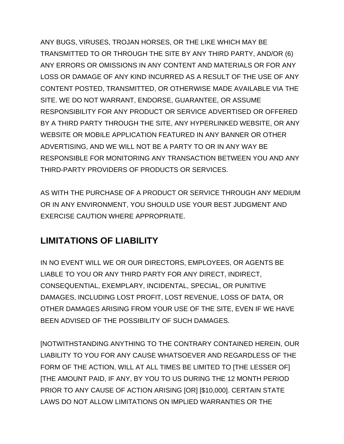ANY BUGS, VIRUSES, TROJAN HORSES, OR THE LIKE WHICH MAY BE TRANSMITTED TO OR THROUGH THE SITE BY ANY THIRD PARTY, AND/OR (6) ANY ERRORS OR OMISSIONS IN ANY CONTENT AND MATERIALS OR FOR ANY LOSS OR DAMAGE OF ANY KIND INCURRED AS A RESULT OF THE USE OF ANY CONTENT POSTED, TRANSMITTED, OR OTHERWISE MADE AVAILABLE VIA THE SITE. WE DO NOT WARRANT, ENDORSE, GUARANTEE, OR ASSUME RESPONSIBILITY FOR ANY PRODUCT OR SERVICE ADVERTISED OR OFFERED BY A THIRD PARTY THROUGH THE SITE, ANY HYPERLINKED WEBSITE, OR ANY WEBSITE OR MOBILE APPLICATION FEATURED IN ANY BANNER OR OTHER ADVERTISING, AND WE WILL NOT BE A PARTY TO OR IN ANY WAY BE RESPONSIBLE FOR MONITORING ANY TRANSACTION BETWEEN YOU AND ANY THIRD-PARTY PROVIDERS OF PRODUCTS OR SERVICES.

AS WITH THE PURCHASE OF A PRODUCT OR SERVICE THROUGH ANY MEDIUM OR IN ANY ENVIRONMENT, YOU SHOULD USE YOUR BEST JUDGMENT AND EXERCISE CAUTION WHERE APPROPRIATE.

# **LIMITATIONS OF LIABILITY**

IN NO EVENT WILL WE OR OUR DIRECTORS, EMPLOYEES, OR AGENTS BE LIABLE TO YOU OR ANY THIRD PARTY FOR ANY DIRECT, INDIRECT, CONSEQUENTIAL, EXEMPLARY, INCIDENTAL, SPECIAL, OR PUNITIVE DAMAGES, INCLUDING LOST PROFIT, LOST REVENUE, LOSS OF DATA, OR OTHER DAMAGES ARISING FROM YOUR USE OF THE SITE, EVEN IF WE HAVE BEEN ADVISED OF THE POSSIBILITY OF SUCH DAMAGES.

[NOTWITHSTANDING ANYTHING TO THE CONTRARY CONTAINED HEREIN, OUR LIABILITY TO YOU FOR ANY CAUSE WHATSOEVER AND REGARDLESS OF THE FORM OF THE ACTION, WILL AT ALL TIMES BE LIMITED TO [THE LESSER OF] [THE AMOUNT PAID, IF ANY, BY YOU TO US DURING THE 12 MONTH PERIOD PRIOR TO ANY CAUSE OF ACTION ARISING [OR] [\$10,000]. CERTAIN STATE LAWS DO NOT ALLOW LIMITATIONS ON IMPLIED WARRANTIES OR THE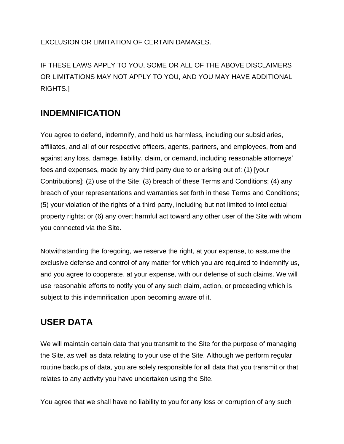EXCLUSION OR LIMITATION OF CERTAIN DAMAGES.

IF THESE LAWS APPLY TO YOU, SOME OR ALL OF THE ABOVE DISCLAIMERS OR LIMITATIONS MAY NOT APPLY TO YOU, AND YOU MAY HAVE ADDITIONAL RIGHTS.]

#### **INDEMNIFICATION**

You agree to defend, indemnify, and hold us harmless, including our subsidiaries, affiliates, and all of our respective officers, agents, partners, and employees, from and against any loss, damage, liability, claim, or demand, including reasonable attorneys' fees and expenses, made by any third party due to or arising out of: (1) [your Contributions]; (2) use of the Site; (3) breach of these Terms and Conditions; (4) any breach of your representations and warranties set forth in these Terms and Conditions; (5) your violation of the rights of a third party, including but not limited to intellectual property rights; or (6) any overt harmful act toward any other user of the Site with whom you connected via the Site.

Notwithstanding the foregoing, we reserve the right, at your expense, to assume the exclusive defense and control of any matter for which you are required to indemnify us, and you agree to cooperate, at your expense, with our defense of such claims. We will use reasonable efforts to notify you of any such claim, action, or proceeding which is subject to this indemnification upon becoming aware of it.

#### **USER DATA**

We will maintain certain data that you transmit to the Site for the purpose of managing the Site, as well as data relating to your use of the Site. Although we perform regular routine backups of data, you are solely responsible for all data that you transmit or that relates to any activity you have undertaken using the Site.

You agree that we shall have no liability to you for any loss or corruption of any such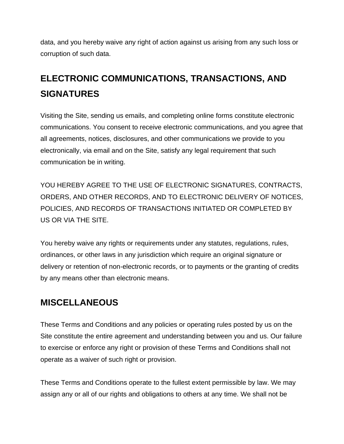data, and you hereby waive any right of action against us arising from any such loss or corruption of such data.

# **ELECTRONIC COMMUNICATIONS, TRANSACTIONS, AND SIGNATURES**

Visiting the Site, sending us emails, and completing online forms constitute electronic communications. You consent to receive electronic communications, and you agree that all agreements, notices, disclosures, and other communications we provide to you electronically, via email and on the Site, satisfy any legal requirement that such communication be in writing.

YOU HEREBY AGREE TO THE USE OF ELECTRONIC SIGNATURES, CONTRACTS, ORDERS, AND OTHER RECORDS, AND TO ELECTRONIC DELIVERY OF NOTICES, POLICIES, AND RECORDS OF TRANSACTIONS INITIATED OR COMPLETED BY US OR VIA THE SITE.

You hereby waive any rights or requirements under any statutes, regulations, rules, ordinances, or other laws in any jurisdiction which require an original signature or delivery or retention of non-electronic records, or to payments or the granting of credits by any means other than electronic means.

#### **MISCELLANEOUS**

These Terms and Conditions and any policies or operating rules posted by us on the Site constitute the entire agreement and understanding between you and us. Our failure to exercise or enforce any right or provision of these Terms and Conditions shall not operate as a waiver of such right or provision.

These Terms and Conditions operate to the fullest extent permissible by law. We may assign any or all of our rights and obligations to others at any time. We shall not be